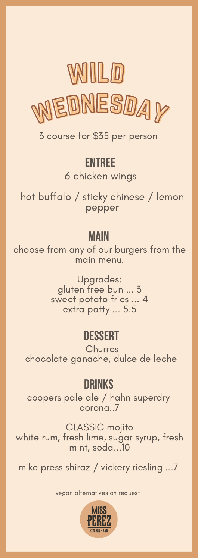

3 course for \$35 per person

## entree

6 chicken wings

hot buffalo / sticky chinese / lemon pepper

## **MAIN**

choose from any of our burgers from the main menu.

> Upgrades: gluten free bun ... 3 sweet potato fries ... 4 extra patty ... 5.5

# dessert

**Churros** chocolate ganache, dulce de leche

# drinks

coopers pale ale / hahn superdry corona..7

CLASSIC mojito white rum, fresh lime, sugar syrup, fresh mint, soda...10

mike press shiraz / vickery riesling ...7

vegan alternatives on request

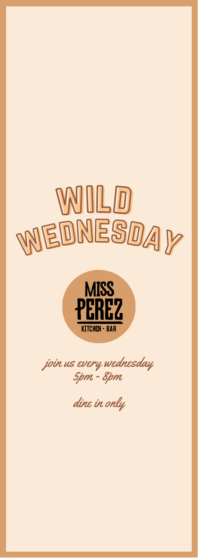



join us every wednesday 5pm - 8pm

dine in only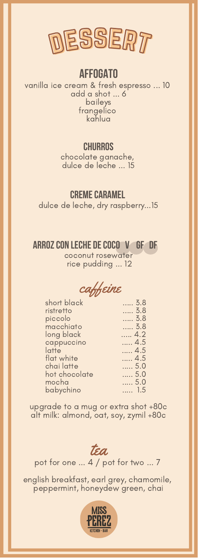

### **AFFOGATO**

vanilla ice cream & fresh espresso ... 10 add a shot ... 6 baileys frangelico kahlua

### **CHURROS**

chocolate ganache, dulce de leche ... 15

#### **CREME CARAMEL**

dulce de leche, dry raspberry...15

#### Arrozcon leche decocO V GF DF

coconut rosewater rice pudding ... 12



| 3.8 |
|-----|
| 3.8 |
| 3.8 |
| 3.8 |
| 4.2 |
| 4.5 |
| 4.5 |
| 4.5 |
| 5.0 |
| 5.0 |
| 5.0 |
| 1.5 |
|     |

upgrade to a mug or extra shot +80c alt milk: almond, oat, soy, zymil +80c

tea

pot for one ... 4 / pot for two ... 7

english breakfast, earl grey, chamomile, peppermint, honeydew green, chai